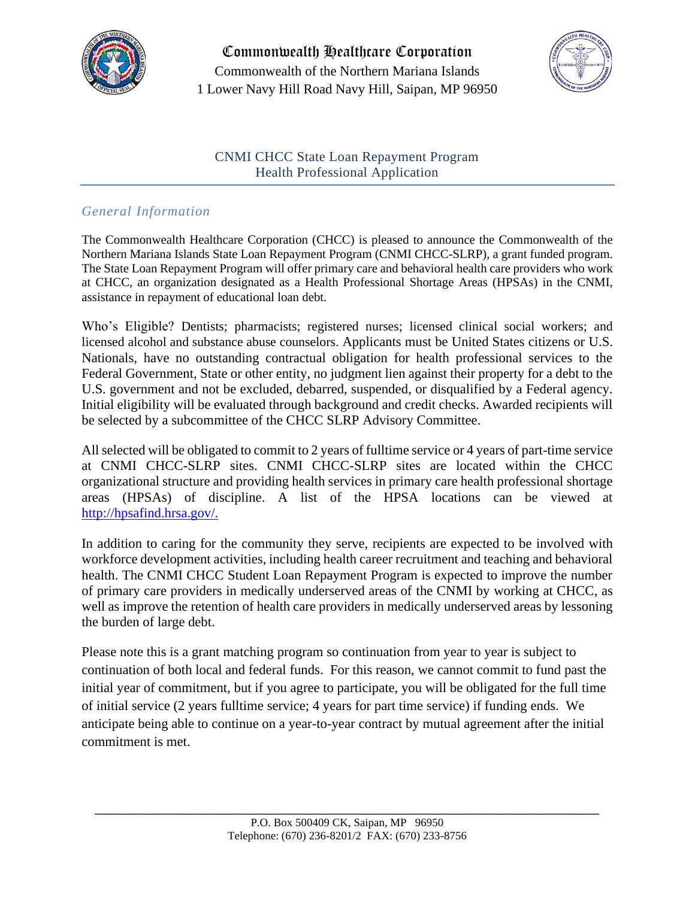

Commonwealth Healthcare Corporation Commonwealth of the Northern Mariana Islands 1 Lower Navy Hill Road Navy Hill, Saipan, MP 96950



## CNMI CHCC State Loan Repayment Program Health Professional Application

# *General Information*

The Commonwealth Healthcare Corporation (CHCC) is pleased to announce the Commonwealth of the Northern Mariana Islands State Loan Repayment Program (CNMI CHCC-SLRP), a grant funded program. The State Loan Repayment Program will offer primary care and behavioral health care providers who work at CHCC, an organization designated as a Health Professional Shortage Areas (HPSAs) in the CNMI, assistance in repayment of educational loan debt.

Who's Eligible? Dentists; pharmacists; registered nurses; licensed clinical social workers; and licensed alcohol and substance abuse counselors. Applicants must be United States citizens or U.S. Nationals, have no outstanding contractual obligation for health professional services to the Federal Government, State or other entity, no judgment lien against their property for a debt to the U.S. government and not be excluded, debarred, suspended, or disqualified by a Federal agency. Initial eligibility will be evaluated through background and credit checks. Awarded recipients will be selected by a subcommittee of the CHCC SLRP Advisory Committee.

All selected will be obligated to commit to 2 years of fulltime service or 4 years of part-time service at CNMI CHCC-SLRP sites. CNMI CHCC-SLRP sites are located within the CHCC organizational structure and providing health services in primary care health professional shortage areas (HPSAs) of discipline. A list of the HPSA locations can be viewed at [http://hpsafind.hrsa.gov/.](http://hpsafind.hrsa.gov/)

In addition to caring for the community they serve, recipients are expected to be involved with workforce development activities, including health career recruitment and teaching and behavioral health. The CNMI CHCC Student Loan Repayment Program is expected to improve the number of primary care providers in medically underserved areas of the CNMI by working at CHCC, as well as improve the retention of health care providers in medically underserved areas by lessoning the burden of large debt.

Please note this is a grant matching program so continuation from year to year is subject to continuation of both local and federal funds. For this reason, we cannot commit to fund past the initial year of commitment, but if you agree to participate, you will be obligated for the full time of initial service (2 years fulltime service; 4 years for part time service) if funding ends. We anticipate being able to continue on a year-to-year contract by mutual agreement after the initial commitment is met.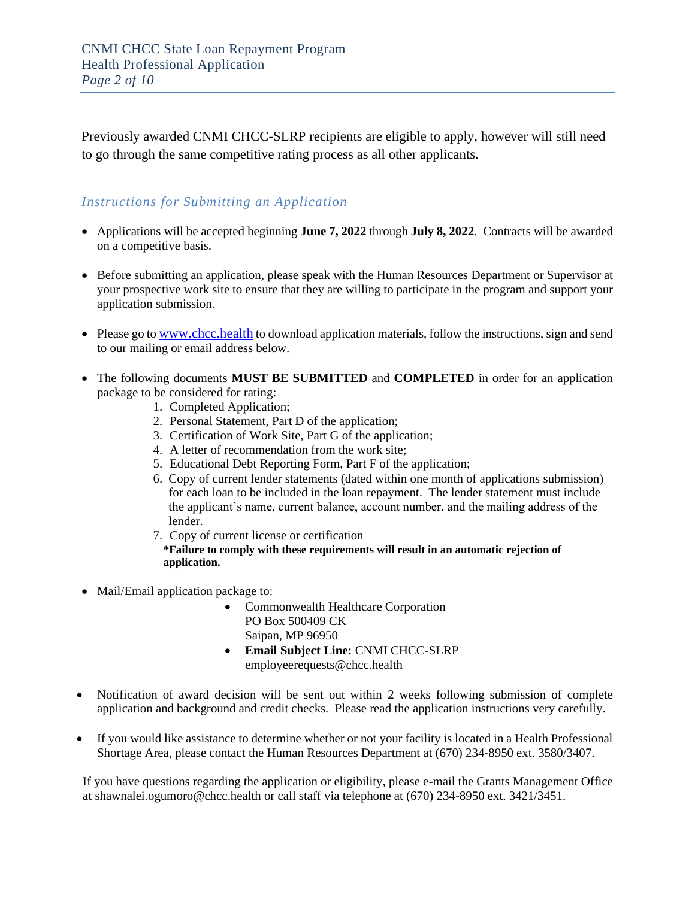Previously awarded CNMI CHCC-SLRP recipients are eligible to apply, however will still need to go through the same competitive rating process as all other applicants.

### *Instructions for Submitting an Application*

- Applications will be accepted beginning **June 7, 2022** through **July 8, 2022**. Contracts will be awarded on a competitive basis.
- Before submitting an application, please speak with the Human Resources Department or Supervisor at your prospective work site to ensure that they are willing to participate in the program and support your application submission.
- Please go to [www.chcc.health](http://www.chcc.health/) to download application materials, follow the instructions, sign and send to our mailing or email address below.
- The following documents **MUST BE SUBMITTED** and **COMPLETED** in order for an application package to be considered for rating:
	- 1. Completed Application;
	- 2. Personal Statement, Part D of the application;
	- 3. Certification of Work Site, Part G of the application;
	- 4. A letter of recommendation from the work site;
	- 5. Educational Debt Reporting Form, Part F of the application;
	- 6. Copy of current lender statements (dated within one month of applications submission) for each loan to be included in the loan repayment. The lender statement must include the applicant's name, current balance, account number, and the mailing address of the lender.
	- 7. Copy of current license or certification

**\*Failure to comply with these requirements will result in an automatic rejection of application.** 

- Mail/Email application package to:
	- Commonwealth Healthcare Corporation PO Box 500409 CK Saipan, MP 96950
	- **Email Subject Line:** CNMI CHCC-SLRP employeerequests@chcc.health
- Notification of award decision will be sent out within 2 weeks following submission of complete application and background and credit checks. Please read the application instructions very carefully.
- If you would like assistance to determine whether or not your facility is located in a Health Professional Shortage Area, please contact the Human Resources Department at (670) 234-8950 ext. 3580/3407.

 If you have questions regarding the application or eligibility, please e-mail the Grants Management Office at shawnalei.ogumoro@chcc.health or call staff via telephone at (670) 234-8950 ext. 3421/3451.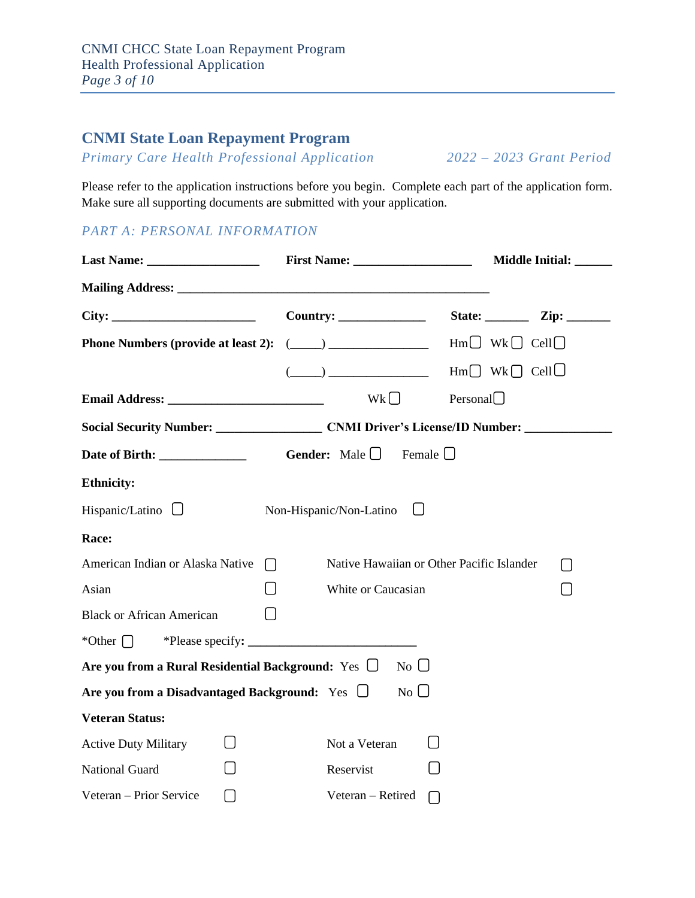# **CNMI State Loan Repayment Program**

*Primary Care Health Professional Application 2022 – 2023 Grant Period*

Please refer to the application instructions before you begin. Complete each part of the application form. Make sure all supporting documents are submitted with your application.

# *PART A: PERSONAL INFORMATION*

|                                                         |                                                                                                                                                                                                                                                                                                                                                                       | Middle Initial: ______ |
|---------------------------------------------------------|-----------------------------------------------------------------------------------------------------------------------------------------------------------------------------------------------------------------------------------------------------------------------------------------------------------------------------------------------------------------------|------------------------|
|                                                         |                                                                                                                                                                                                                                                                                                                                                                       |                        |
| City:                                                   |                                                                                                                                                                                                                                                                                                                                                                       |                        |
|                                                         |                                                                                                                                                                                                                                                                                                                                                                       |                        |
|                                                         | $(\underline{\hspace{1cm}})$ $\underline{\hspace{1cm}}$ $\qquad \qquad$ $\qquad \qquad$ $\qquad$ $\qquad$ $\qquad$ $\qquad$ $\qquad$ $\qquad$ $\qquad$ $\qquad$ $\qquad$ $\qquad$ $\qquad$ $\qquad$ $\qquad$ $\qquad$ $\qquad$ $\qquad$ $\qquad$ $\qquad$ $\qquad$ $\qquad$ $\qquad$ $\qquad$ $\qquad$ $\qquad$ $\qquad$ $\qquad$ $\qquad$ $\qquad$ $\qquad$ $\qquad$ |                        |
|                                                         | Wk                                                                                                                                                                                                                                                                                                                                                                    | Personal $\Box$        |
|                                                         |                                                                                                                                                                                                                                                                                                                                                                       |                        |
|                                                         | Female $\Box$                                                                                                                                                                                                                                                                                                                                                         |                        |
| <b>Ethnicity:</b>                                       |                                                                                                                                                                                                                                                                                                                                                                       |                        |
| Hispanic/Latino $\Box$                                  | Non-Hispanic/Non-Latino                                                                                                                                                                                                                                                                                                                                               |                        |
| Race:                                                   |                                                                                                                                                                                                                                                                                                                                                                       |                        |
| American Indian or Alaska Native<br>$\Box$              | Native Hawaiian or Other Pacific Islander                                                                                                                                                                                                                                                                                                                             | $\Box$                 |
| Asian                                                   | White or Caucasian                                                                                                                                                                                                                                                                                                                                                    | ∩                      |
| <b>Black or African American</b>                        |                                                                                                                                                                                                                                                                                                                                                                       |                        |
| *Other $\bigcap$                                        |                                                                                                                                                                                                                                                                                                                                                                       |                        |
| Are you from a Rural Residential Background: Yes $\Box$ | No                                                                                                                                                                                                                                                                                                                                                                    |                        |
| Are you from a Disadvantaged Background: Yes $\Box$     | No $\Box$                                                                                                                                                                                                                                                                                                                                                             |                        |
| <b>Veteran Status:</b>                                  |                                                                                                                                                                                                                                                                                                                                                                       |                        |
| <b>Active Duty Military</b>                             | Not a Veteran                                                                                                                                                                                                                                                                                                                                                         |                        |
| <b>National Guard</b>                                   | Reservist                                                                                                                                                                                                                                                                                                                                                             |                        |
| Veteran - Prior Service<br>$\Box$                       | Veteran - Retired                                                                                                                                                                                                                                                                                                                                                     |                        |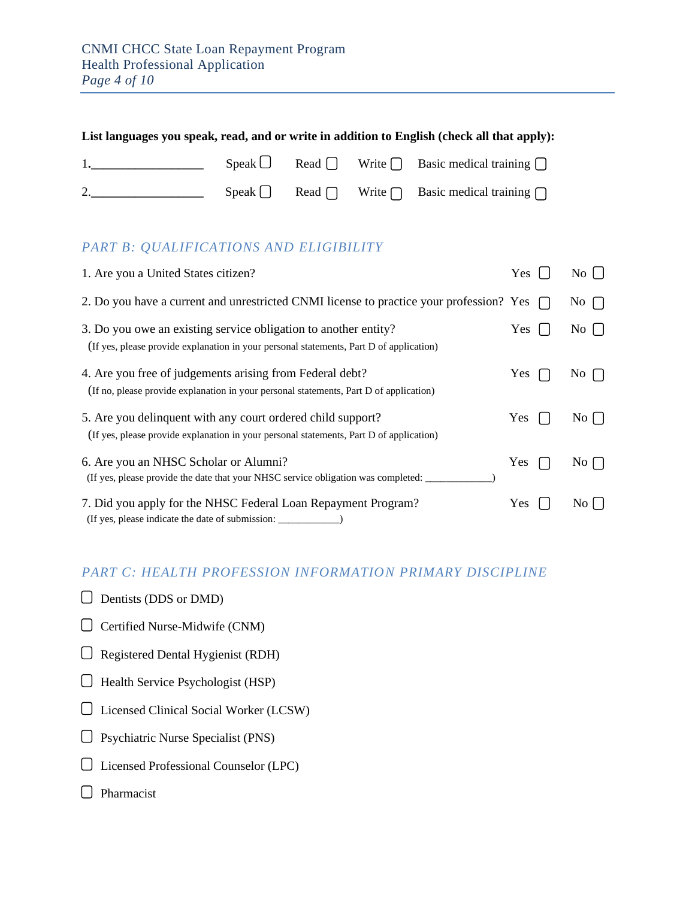| List languages you speak, read, and or write in addition to English (check all that apply): |  |  |  |                                                                     |
|---------------------------------------------------------------------------------------------|--|--|--|---------------------------------------------------------------------|
|                                                                                             |  |  |  | Speak $\Box$ Read $\Box$ Write $\Box$ Basic medical training $\Box$ |
|                                                                                             |  |  |  | Speak $\Box$ Read $\Box$ Write $\Box$ Basic medical training $\Box$ |

# *PART B: QUALIFICATIONS AND ELIGIBILITY*

| 1. Are you a United States citizen?                                                                                                                        | Yes        | $\overline{N_{0}}$                           |
|------------------------------------------------------------------------------------------------------------------------------------------------------------|------------|----------------------------------------------|
| 2. Do you have a current and unrestricted CNMI license to practice your profession? Yes                                                                    |            | $\overline{N}$ $\overline{O}$ $\overline{O}$ |
| 3. Do you owe an existing service obligation to another entity?<br>(If yes, please provide explanation in your personal statements, Part D of application) | Yes        | $\overline{N_0}$                             |
| 4. Are you free of judgements arising from Federal debt?<br>(If no, please provide explanation in your personal statements, Part D of application)         | <b>Yes</b> | $\overline{N}$ $\overline{O}$ $\overline{O}$ |
| 5. Are you delinquent with any court ordered child support?<br>(If yes, please provide explanation in your personal statements, Part D of application)     | <b>Yes</b> | $\overline{N_{0}}$                           |
| 6. Are you an NHSC Scholar or Alumni?<br>(If yes, please provide the date that your NHSC service obligation was completed:                                 | Yes        | No I                                         |
| 7. Did you apply for the NHSC Federal Loan Repayment Program?<br>(If yes, please indicate the date of submission: _                                        | Yes        | No [                                         |

## *PART C: HEALTH PROFESSION INFORMATION PRIMARY DISCIPLINE*

- $\Box$  Dentists (DDS or DMD)
- Certified Nurse-Midwife (CNM)
- $\Box$  Registered Dental Hygienist (RDH)
- $\Box$  Health Service Psychologist (HSP)
- Licensed Clinical Social Worker (LCSW)
- Psychiatric Nurse Specialist (PNS)
- Licensed Professional Counselor (LPC)
- $\Box$  Pharmacist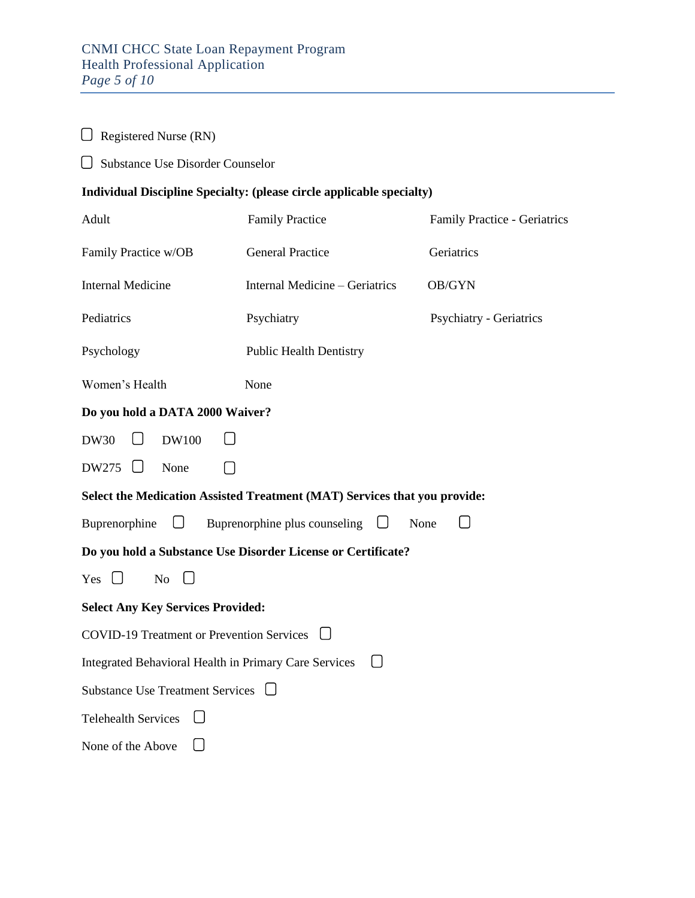Registered Nurse (RN)

| $\bigcup$ Substance Use Disorder Counselor            |                                                                           |                                |
|-------------------------------------------------------|---------------------------------------------------------------------------|--------------------------------|
|                                                       | Individual Discipline Specialty: (please circle applicable specialty)     |                                |
| Adult                                                 | <b>Family Practice</b>                                                    | Family Practice - Geriatrics   |
| Family Practice w/OB                                  | <b>General Practice</b>                                                   | Geriatrics                     |
| <b>Internal Medicine</b>                              | Internal Medicine – Geriatrics                                            | OB/GYN                         |
| Pediatrics                                            | Psychiatry                                                                | <b>Psychiatry - Geriatrics</b> |
| Psychology                                            | <b>Public Health Dentistry</b>                                            |                                |
| Women's Health                                        | None                                                                      |                                |
| Do you hold a DATA 2000 Waiver?                       |                                                                           |                                |
| <b>DW30</b><br><b>DW100</b>                           |                                                                           |                                |
| DW275<br>None                                         |                                                                           |                                |
|                                                       | Select the Medication Assisted Treatment (MAT) Services that you provide: |                                |
| Buprenorphine                                         | <b>Example 1</b> Buprenorphine plus counseling $\Box$<br>None             |                                |
|                                                       | Do you hold a Substance Use Disorder License or Certificate?              |                                |
| Yes $\Box$<br>No                                      |                                                                           |                                |
| <b>Select Any Key Services Provided:</b>              |                                                                           |                                |
| <b>COVID-19 Treatment or Prevention Services</b>      |                                                                           |                                |
| Integrated Behavioral Health in Primary Care Services | $\Box$                                                                    |                                |
| Substance Use Treatment Services □                    |                                                                           |                                |
| <b>Telehealth Services</b>                            |                                                                           |                                |
| None of the Above                                     |                                                                           |                                |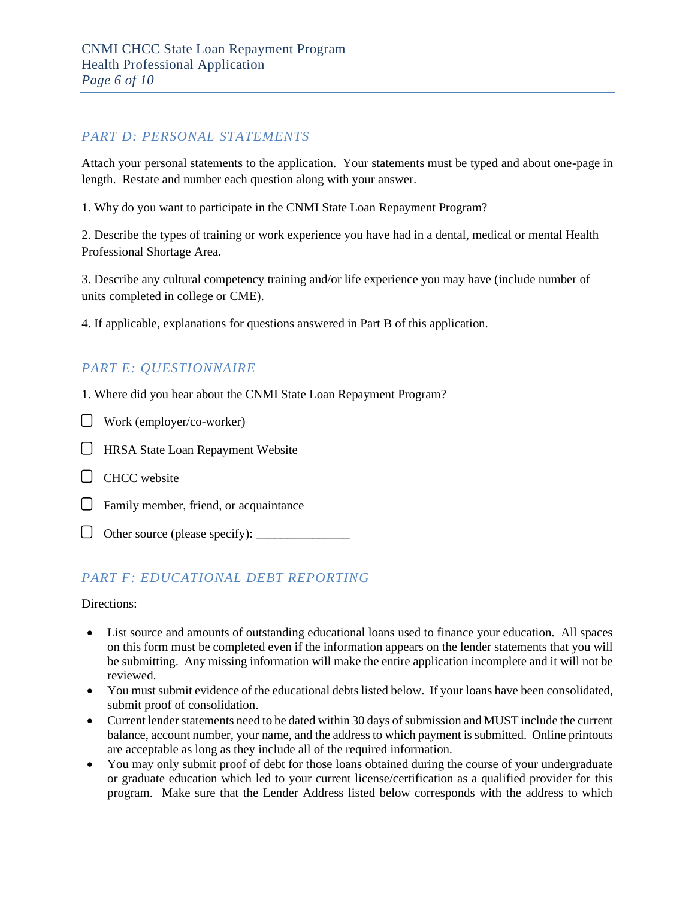#### *PART D: PERSONAL STATEMENTS*

Attach your personal statements to the application. Your statements must be typed and about one-page in length. Restate and number each question along with your answer.

1. Why do you want to participate in the CNMI State Loan Repayment Program?

2. Describe the types of training or work experience you have had in a dental, medical or mental Health Professional Shortage Area.

3. Describe any cultural competency training and/or life experience you may have (include number of units completed in college or CME).

4. If applicable, explanations for questions answered in Part B of this application.

## *PART E: QUESTIONNAIRE*

1. Where did you hear about the CNMI State Loan Repayment Program?

- Work (employer/co-worker)
- **HRSA State Loan Repayment Website**
- $\Box$  CHCC website
- $\Box$  Family member, friend, or acquaintance
- $\Box$  Other source (please specify):  $\Box$

### *PART F: EDUCATIONAL DEBT REPORTING*

Directions:

- List source and amounts of outstanding educational loans used to finance your education. All spaces on this form must be completed even if the information appears on the lender statements that you will be submitting. Any missing information will make the entire application incomplete and it will not be reviewed.
- You must submit evidence of the educational debts listed below. If your loans have been consolidated, submit proof of consolidation.
- Current lender statements need to be dated within 30 days of submission and MUST include the current balance, account number, your name, and the address to which payment is submitted. Online printouts are acceptable as long as they include all of the required information.
- You may only submit proof of debt for those loans obtained during the course of your undergraduate or graduate education which led to your current license/certification as a qualified provider for this program. Make sure that the Lender Address listed below corresponds with the address to which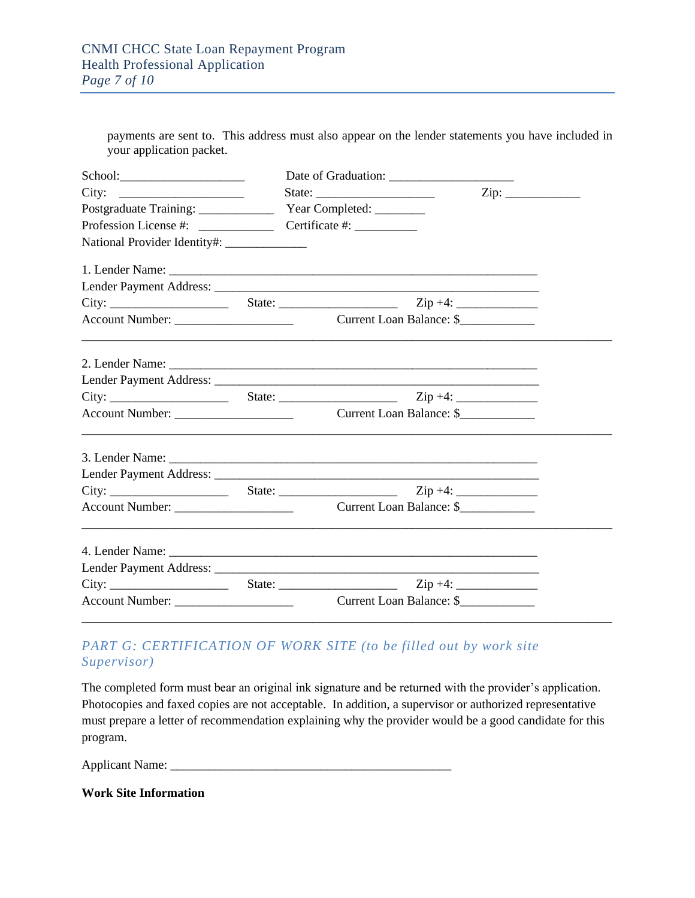payments are sent to. This address must also appear on the lender statements you have included in your application packet.

| City:                                         |                          |  |
|-----------------------------------------------|--------------------------|--|
| Postgraduate Training: Vear Completed: ______ |                          |  |
|                                               |                          |  |
| National Provider Identity#: ______________   |                          |  |
|                                               |                          |  |
|                                               |                          |  |
|                                               |                          |  |
|                                               |                          |  |
|                                               |                          |  |
|                                               |                          |  |
|                                               |                          |  |
|                                               |                          |  |
|                                               |                          |  |
|                                               |                          |  |
|                                               |                          |  |
|                                               |                          |  |
|                                               |                          |  |
|                                               |                          |  |
|                                               |                          |  |
| Account Number:                               | Current Loan Balance: \$ |  |

# PART G: CERTIFICATION OF WORK SITE (to be filled out by work site *Supervisor)*

The completed form must bear an original ink signature and be returned with the provider's application. Photocopies and faxed copies are not acceptable. In addition, a supervisor or authorized representative must prepare a letter of recommendation explaining why the provider would be a good candidate for this program.

Applicant Name: \_\_\_\_\_\_\_\_\_\_\_\_\_\_\_\_\_\_\_\_\_\_\_\_\_\_\_\_\_\_\_\_\_\_\_\_\_\_\_\_\_\_\_\_\_

**Work Site Information**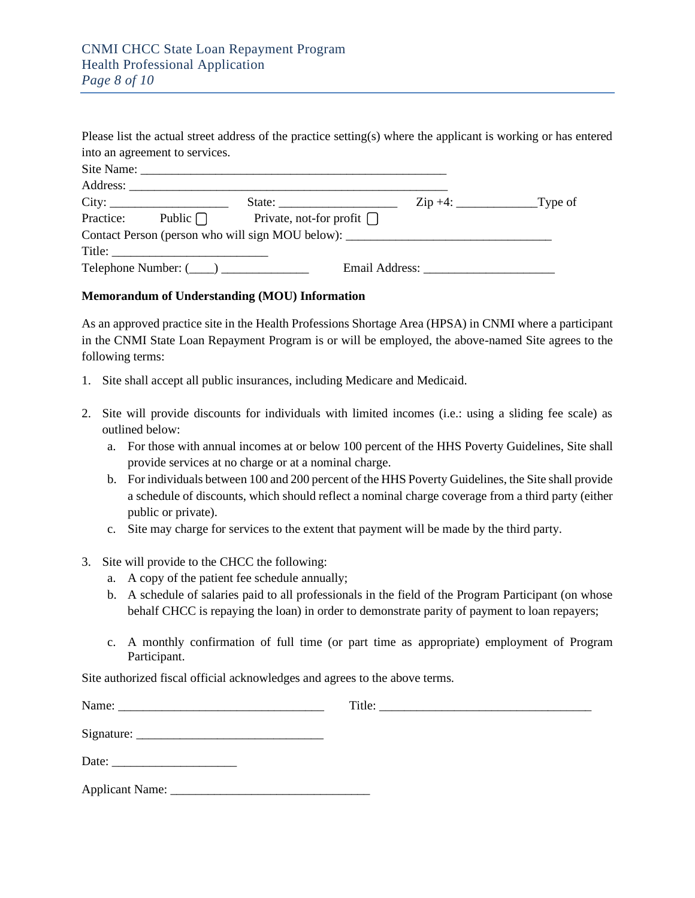|                                                                                                                                                                                                                                                                                                                                                                                                                                                   | Please list the actual street address of the practice setting(s) where the applicant is working or has entered |  |
|---------------------------------------------------------------------------------------------------------------------------------------------------------------------------------------------------------------------------------------------------------------------------------------------------------------------------------------------------------------------------------------------------------------------------------------------------|----------------------------------------------------------------------------------------------------------------|--|
| into an agreement to services.                                                                                                                                                                                                                                                                                                                                                                                                                    |                                                                                                                |  |
|                                                                                                                                                                                                                                                                                                                                                                                                                                                   |                                                                                                                |  |
|                                                                                                                                                                                                                                                                                                                                                                                                                                                   |                                                                                                                |  |
|                                                                                                                                                                                                                                                                                                                                                                                                                                                   |                                                                                                                |  |
|                                                                                                                                                                                                                                                                                                                                                                                                                                                   | Practice: Public $\bigcap$ Private, not-for profit $\bigcap$                                                   |  |
|                                                                                                                                                                                                                                                                                                                                                                                                                                                   | Contact Person (person who will sign MOU below):                                                               |  |
| Title: $\frac{1}{\sqrt{1-\frac{1}{2}} \cdot \frac{1}{2} \cdot \frac{1}{2} \cdot \frac{1}{2} \cdot \frac{1}{2} \cdot \frac{1}{2} \cdot \frac{1}{2} \cdot \frac{1}{2} \cdot \frac{1}{2} \cdot \frac{1}{2} \cdot \frac{1}{2} \cdot \frac{1}{2} \cdot \frac{1}{2} \cdot \frac{1}{2} \cdot \frac{1}{2} \cdot \frac{1}{2} \cdot \frac{1}{2} \cdot \frac{1}{2} \cdot \frac{1}{2} \cdot \frac{1}{2} \cdot \frac{1}{2} \cdot \frac{1}{2} \cdot \frac{1}{2$ |                                                                                                                |  |
|                                                                                                                                                                                                                                                                                                                                                                                                                                                   | $Telephone Number: ($ $)$ $\qquad \qquad$                                                                      |  |

#### **Memorandum of Understanding (MOU) Information**

As an approved practice site in the Health Professions Shortage Area (HPSA) in CNMI where a participant in the CNMI State Loan Repayment Program is or will be employed, the above-named Site agrees to the following terms:

- 1. Site shall accept all public insurances, including Medicare and Medicaid.
- 2. Site will provide discounts for individuals with limited incomes (i.e.: using a sliding fee scale) as outlined below:
	- a. For those with annual incomes at or below 100 percent of the HHS Poverty Guidelines, Site shall provide services at no charge or at a nominal charge.
	- b. For individuals between 100 and 200 percent of the HHS Poverty Guidelines, the Site shall provide a schedule of discounts, which should reflect a nominal charge coverage from a third party (either public or private).
	- c. Site may charge for services to the extent that payment will be made by the third party.
- 3. Site will provide to the CHCC the following:
	- a. A copy of the patient fee schedule annually;
	- b. A schedule of salaries paid to all professionals in the field of the Program Participant (on whose behalf CHCC is repaying the loan) in order to demonstrate parity of payment to loan repayers;
	- c. A monthly confirmation of full time (or part time as appropriate) employment of Program Participant.

Site authorized fiscal official acknowledges and agrees to the above terms.

| Name:           |  |
|-----------------|--|
|                 |  |
| Date:           |  |
| Applicant Name: |  |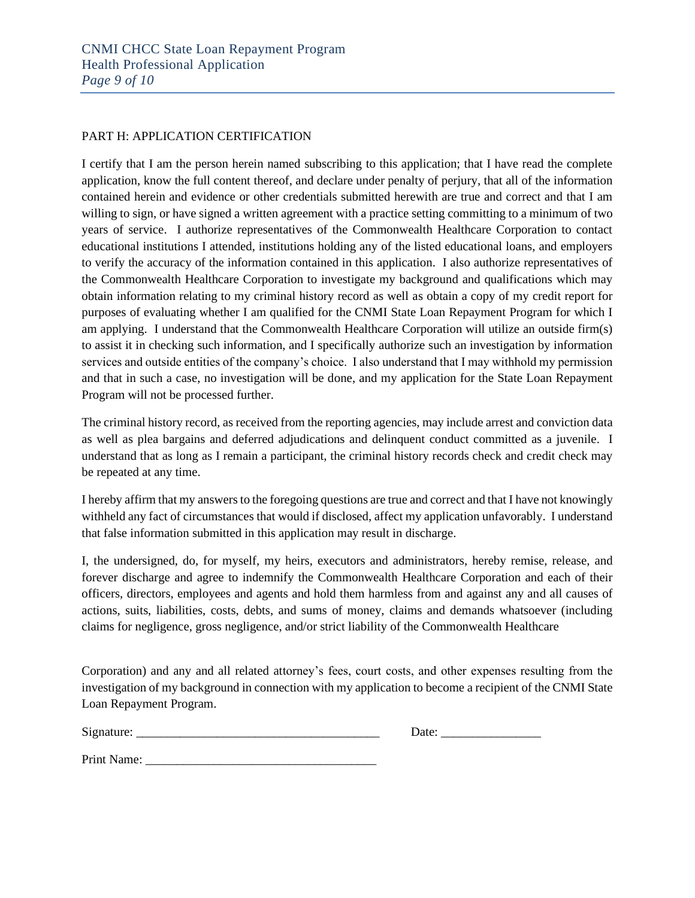#### PART H: APPLICATION CERTIFICATION

I certify that I am the person herein named subscribing to this application; that I have read the complete application, know the full content thereof, and declare under penalty of perjury, that all of the information contained herein and evidence or other credentials submitted herewith are true and correct and that I am willing to sign, or have signed a written agreement with a practice setting committing to a minimum of two years of service. I authorize representatives of the Commonwealth Healthcare Corporation to contact educational institutions I attended, institutions holding any of the listed educational loans, and employers to verify the accuracy of the information contained in this application. I also authorize representatives of the Commonwealth Healthcare Corporation to investigate my background and qualifications which may obtain information relating to my criminal history record as well as obtain a copy of my credit report for purposes of evaluating whether I am qualified for the CNMI State Loan Repayment Program for which I am applying. I understand that the Commonwealth Healthcare Corporation will utilize an outside firm(s) to assist it in checking such information, and I specifically authorize such an investigation by information services and outside entities of the company's choice. I also understand that I may withhold my permission and that in such a case, no investigation will be done, and my application for the State Loan Repayment Program will not be processed further.

The criminal history record, as received from the reporting agencies, may include arrest and conviction data as well as plea bargains and deferred adjudications and delinquent conduct committed as a juvenile. I understand that as long as I remain a participant, the criminal history records check and credit check may be repeated at any time.

I hereby affirm that my answers to the foregoing questions are true and correct and that I have not knowingly withheld any fact of circumstances that would if disclosed, affect my application unfavorably. I understand that false information submitted in this application may result in discharge.

I, the undersigned, do, for myself, my heirs, executors and administrators, hereby remise, release, and forever discharge and agree to indemnify the Commonwealth Healthcare Corporation and each of their officers, directors, employees and agents and hold them harmless from and against any and all causes of actions, suits, liabilities, costs, debts, and sums of money, claims and demands whatsoever (including claims for negligence, gross negligence, and/or strict liability of the Commonwealth Healthcare

Corporation) and any and all related attorney's fees, court costs, and other expenses resulting from the investigation of my background in connection with my application to become a recipient of the CNMI State Loan Repayment Program.

Signature: \_\_\_\_\_\_\_\_\_\_\_\_\_\_\_\_\_\_\_\_\_\_\_\_\_\_\_\_\_\_\_\_\_\_\_\_\_\_\_ Date: \_\_\_\_\_\_\_\_\_\_\_\_\_\_\_\_

| Date: |
|-------|
|-------|

Print Name: